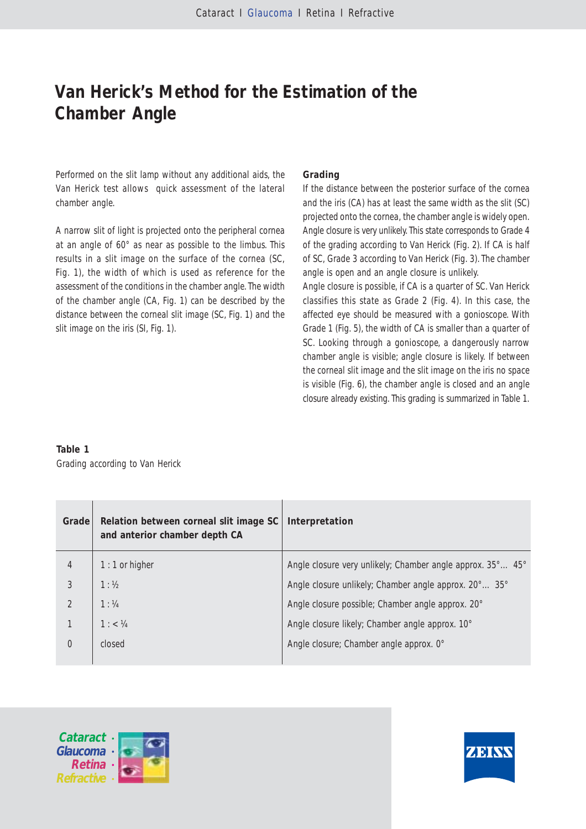# **Van Herick's Method for the Estimation of the Chamber Angle**

Performed on the slit lamp without any additional aids, the Van Herick test allows quick assessment of the lateral chamber angle.

A narrow slit of light is projected onto the peripheral cornea at an angle of 60° as near as possible to the limbus. This results in a slit image on the surface of the cornea (SC, Fig. 1), the width of which is used as reference for the assessment of the conditions in the chamber angle. The width of the chamber angle (CA, Fig. 1) can be described by the distance between the corneal slit image (SC, Fig. 1) and the slit image on the iris (SI, Fig. 1).

## **Grading**

If the distance between the posterior surface of the cornea and the iris (CA) has at least the same width as the slit (SC) projected onto the cornea, the chamber angle is widely open. Angle closure is very unlikely. This state corresponds to Grade 4 of the grading according to Van Herick (Fig. 2). If CA is half of SC, Grade 3 according to Van Herick (Fig. 3). The chamber angle is open and an angle closure is unlikely.

Angle closure is possible, if CA is a quarter of SC. Van Herick classifies this state as Grade 2 (Fig. 4). In this case, the affected eye should be measured with a gonioscope. With Grade 1 (Fig. 5), the width of CA is smaller than a quarter of SC. Looking through a gonioscope, a dangerously narrow chamber angle is visible; angle closure is likely. If between the corneal slit image and the slit image on the iris no space is visible (Fig. 6), the chamber angle is closed and an angle closure already existing. This grading is summarized in Table 1.

## **Table 1** Grading according to Van Herick

| Grade | Relation between corneal slit image SC<br>and anterior chamber depth CA | Interpretation                                             |
|-------|-------------------------------------------------------------------------|------------------------------------------------------------|
| 4     | $1:1$ or higher                                                         | Angle closure very unlikely; Chamber angle approx. 35° 45° |
| 3     | 1:1/2                                                                   | Angle closure unlikely; Chamber angle approx. 20° 35°      |
|       | 1:1/4                                                                   | Angle closure possible; Chamber angle approx. 20°          |
|       | 1: < 1/4                                                                | Angle closure likely; Chamber angle approx. 10°            |
| 0     | closed                                                                  | Angle closure; Chamber angle approx. 0°                    |
|       |                                                                         |                                                            |



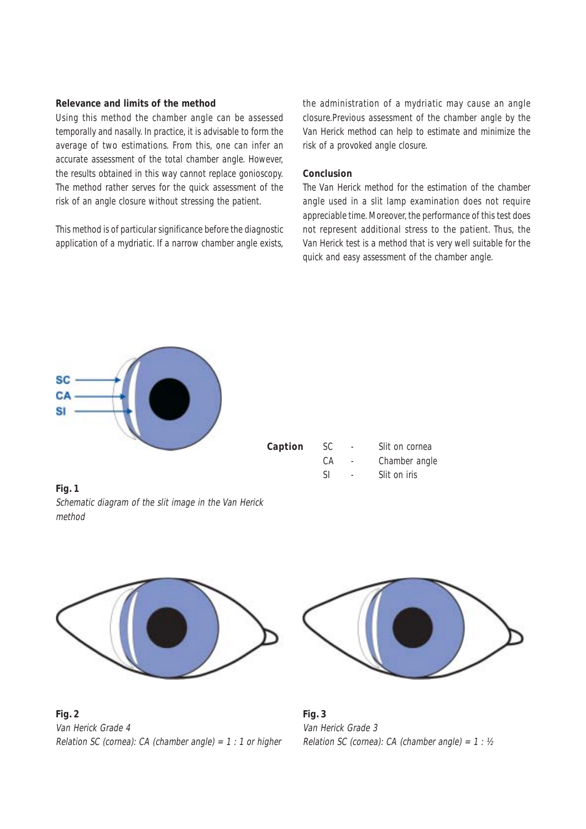## **Relevance and limits of the method**

Using this method the chamber angle can be assessed temporally and nasally. In practice, it is advisable to form the average of two estimations. From this, one can infer an accurate assessment of the total chamber angle. However, the results obtained in this way cannot replace gonioscopy. The method rather serves for the quick assessment of the risk of an angle closure without stressing the patient.

This method is of particular significance before the diagnostic application of a mydriatic. If a narrow chamber angle exists,

the administration of a mydriatic may cause an angle closure.Previous assessment of the chamber angle by the Van Herick method can help to estimate and minimize the risk of a provoked angle closure.

#### **Conclusion**

The Van Herick method for the estimation of the chamber angle used in a slit lamp examination does not require appreciable time. Moreover, the performance of this test does not represent additional stress to the patient. Thus, the Van Herick test is a method that is very well suitable for the quick and easy assessment of the chamber angle.



**Caption** SC - Slit on cornea CA - Chamber angle SI - Slit on iris

**Fig. 1** Schematic diagram of the slit image in the Van Herick method



**Fig. 2** Van Herick Grade 4 Relation SC (cornea): CA (chamber angle) =  $1:1$  or higher



**Fig. 3** Van Herick Grade 3 Relation SC (cornea): CA (chamber angle) =  $1:$  ½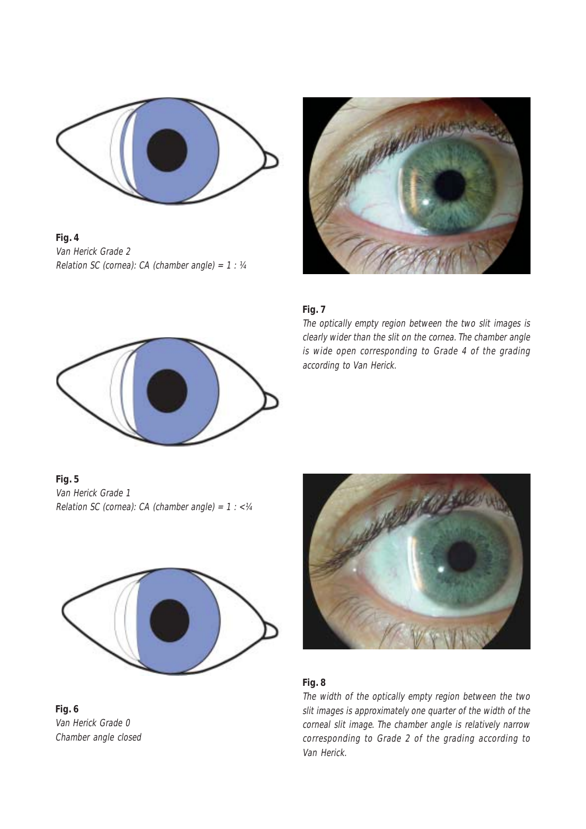

**Fig. 4** Van Herick Grade 2 Relation SC (cornea): CA (chamber angle) =  $1:$   $\frac{1}{4}$ 



## **Fig. 7**

The optically empty region between the two slit images is clearly wider than the slit on the cornea. The chamber angle is wide open corresponding to Grade 4 of the grading according to Van Herick.



**Fig. 5** Van Herick Grade 1 Relation SC (cornea): CA (chamber angle) =  $1:  $\frac{1}{4}$$ 



**Fig. 6** Van Herick Grade 0 Chamber angle closed



# **Fig. 8**

The width of the optically empty region between the two slit images is approximately one quarter of the width of the corneal slit image. The chamber angle is relatively narrow corresponding to Grade 2 of the grading according to Van Herick.